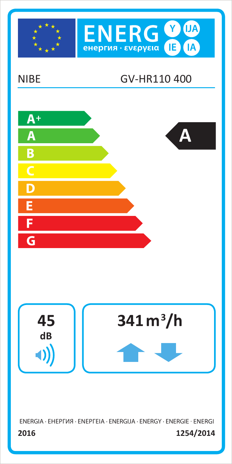





ENERGIA · EHEPFIA · ENEPFEIA · ENERGIJA · ENERGY · ENERGIE · ENERGI 1254/2014 2016